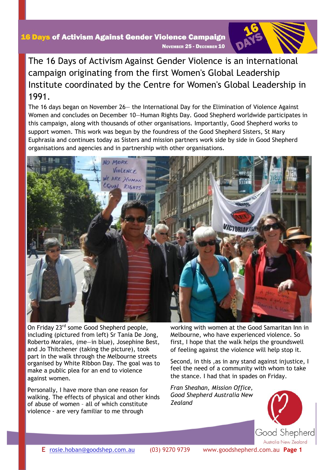### The 16 Days of Activism Against Gender Violence is an international campaign originating from the first Women's Global Leadership Institute coordinated by the Centre for Women's Global Leadership in 1991.

The 16 days began on November 26— the International Day for the Elimination of Violence Against Women and concludes on December 10—Human Rights Day. Good Shepherd worldwide participates in this campaign, along with thousands of other organisations. Importantly, Good Shepherd works to support women. This work was begun by the foundress of the Good Shepherd Sisters, St Mary Euphrasia and continues today as Sisters and mission partners work side by side in Good Shepherd organisations and agencies and in partnership with other organisations.



On Friday 23<sup>rd</sup> some Good Shepherd people, including (pictured from left) Sr Tania De Jong, Roberto Morales, (me—in blue), Josephine Best, and Jo Thitchener (taking the picture), took part in the walk through the Melbourne streets organised by White Ribbon Day. The goal was to make a public plea for an end to violence against women.

Personally, I have more than one reason for walking. The effects of physical and other kinds of abuse of women – all of which constitute violence - are very familiar to me through

working with women at the Good Samaritan Inn in Melbourne, who have experienced violence. So first, I hope that the walk helps the groundswell of feeling against the violence will help stop it.

Second, in this ,as in any stand against injustice, I feel the need of a community with whom to take the stance. I had that in spades on Friday.

*Fran Sheahan, Mission Office, Good Shepherd Australia New Zealand*

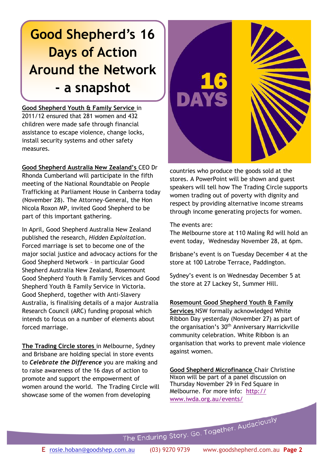## **Good Shepherd's 16 Days of Action Around the Network - a snapshot**

**Good Shepherd Youth & Family Service** in 2011/12 ensured that 281 women and 432 children were made safe through financial assistance to escape violence, change locks, install security systems and other safety measures.

**Good Shepherd Australia New Zealand's** CEO Dr Rhonda Cumberland will participate in the fifth meeting of the National Roundtable on People Trafficking at Parliament House in Canberra today (November 28). The Attorney-General, the Hon Nicola Roxon MP, invited Good Shepherd to be part of this important gathering.

In April, Good Shepherd Australia New Zealand published the research, *Hidden Exploitation*. Forced marriage is set to become one of the major social justice and advocacy actions for the Good Shepherd Network – in particular Good Shepherd Australia New Zealand, Rosemount Good Shepherd Youth & Family Services and Good Shepherd Youth & Family Service in Victoria. Good Shepherd, together with Anti-Slavery Australia, is finalising details of a major Australia Research Council (ARC) funding proposal which intends to focus on a number of elements about forced marriage.

**The Trading Circle stores** in Melbourne, Sydney and Brisbane are holding special in store events to *Celebrate the Difference* you are making and to raise awareness of the 16 days of action to promote and support the empowerment of women around the world. The Trading Circle will showcase some of the women from developing



countries who produce the goods sold at the stores. A PowerPoint will be shown and guest speakers will tell how The Trading Circle supports women trading out of poverty with dignity and respect by providing alternative income streams through income generating projects for women.

The events are:

The Melbourne store at 110 Maling Rd will hold an event today, Wednesday November 28, at 6pm.

Brisbane's event is on Tuesday December 4 at the store at 100 Latrobe Terrace, Paddington.

Sydney's event is on Wednesday December 5 at the store at 27 Lackey St, Summer Hill.

#### **Rosemount Good Shepherd Youth & Family**

**Services** NSW formally acknowledged White Ribbon Day yesterday (November 27) as part of the organisation's 30<sup>th</sup> Anniversary Marrickville community celebration. White Ribbon is an organisation that works to prevent male violence against women.

**Good Shepherd Microfinance** Chair Christine Nixon will be part of a panel discussion on Thursday November 29 in Fed Square in Melbourne. For more info: [http://](http://www.iwda.org.au/events/) [www.iwda.org.au/events/](http://www.iwda.org.au/events/)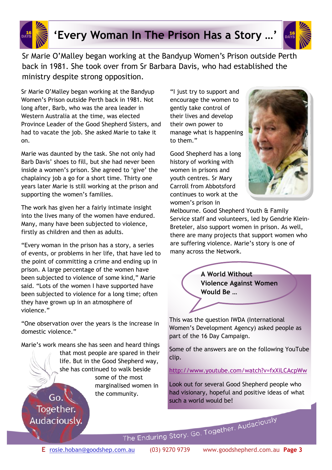

### **'Every Woman In The Prison Has a Story …'**



Sr Marie O'Malley began working at the Bandyup Women's Prison outside Perth back in 1981. She took over from Sr Barbara Davis, who had established the ministry despite strong opposition.

Sr Marie O'Malley began working at the Bandyup Women's Prison outside Perth back in 1981. Not long after, Barb, who was the area leader in Western Australia at the time, was elected Province Leader of the Good Shepherd Sisters, and had to vacate the job. She asked Marie to take it on.

Marie was daunted by the task. She not only had Barb Davis' shoes to fill, but she had never been inside a women's prison. She agreed to 'give' the chaplaincy job a go for a short time. Thirty one years later Marie is still working at the prison and supporting the women's families.

The work has given her a fairly intimate insight into the lives many of the women have endured. Many, many have been subjected to violence, firstly as children and then as adults.

"Every woman in the prison has a story, a series of events, or problems in her life, that have led to the point of committing a crime and ending up in prison. A large percentage of the women have been subjected to violence of some kind," Marie said. "Lots of the women I have supported have been subjected to violence for a long time; often they have grown up in an atmosphere of violence."

"One observation over the years is the increase in domestic violence."

Marie's work means she has seen and heard things that most people are spared in their life. But in the Good Shepherd way, she has continued to walk beside some of the most marginalised women in the community.

 $Go.$ 

Together.

Audaciously.

"I just try to support and encourage the women to gently take control of their lives and develop their own power to manage what is happening to them."

Good Shepherd has a long history of working with women in prisons and youth centres. Sr Mary Carroll from Abbotsford continues to work at the women's prison in



Melbourne. Good Shepherd Youth & Family Service staff and volunteers, led by Gendrie Klein-Breteler, also support women in prison. As well, there are many projects that support women who are suffering violence. Marie's story is one of many across the Network.



This was the question IWDA (International Women's Development Agency) asked people as part of the 16 Day Campaign.

Some of the answers are on the following YouTube clip.

<http://www.youtube.com/watch?v=fxXiLCAcpWw>

Look out for several Good Shepherd people who had visionary, hopeful and positive ideas of what such a world would be!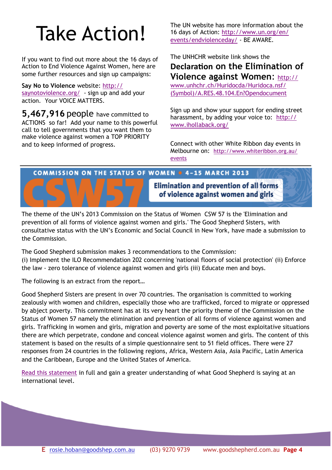# Take Action!

If you want to find out more about the 16 days of Action to End Violence Against Women, here are some further resources and sign up campaigns:

**Say No to Violence** website: [http://](http://saynotoviolence.org/) [saynotoviolence.org/](http://saynotoviolence.org/) - sign up and add your action. Your VOICE MATTERS.

**5,467,916** people have committed to ACTIONS so far! Add your name to this powerful call to tell governments that you want them to make violence against women a TOP PRIORITY and to keep informed of progress.

The UN website has more information about the 16 days of Action: [http://www.un.org/en/](http://www.un.org/en/events/endviolenceday/) [events/endviolenceday/](http://www.un.org/en/events/endviolenceday/) - BE AWARE.

#### The UNHCHR website link shows the **Declaration on the Elimination of Violence against Women**: [http://](http://www.unhchr.ch/Huridocda/Huridoca.nsf/(Symbol)/A.RES.48.104.En?Opendocument) [www.unhchr.ch/Huridocda/Huridoca.nsf/](http://www.unhchr.ch/Huridocda/Huridoca.nsf/(Symbol)/A.RES.48.104.En?Opendocument)

[\(Symbol\)/A.RES.48.104.En?Opendocument](http://www.unhchr.ch/Huridocda/Huridoca.nsf/(Symbol)/A.RES.48.104.En?Opendocument)

Sign up and show your support for ending street harassment, by adding your voice to: [http://](http://www.ihollaback.org/) [www.ihollaback.org/](http://www.ihollaback.org/)

Connect with other White Ribbon day events in Melbourne on: [http://www.whiteribbon.org.au/](http://www.whiteribbon.org.au/events) [events](http://www.whiteribbon.org.au/events)

#### **COMMISSION ON THE STATUS OF WOMEN @ 4-15 MARCH 2013**

**Elimination and prevention of all forms** of violence against women and girls

The theme of the UN's 2013 Commission on the Status of Women CSW 57 is the 'Elimination and prevention of all forms of violence against women and girls.' The Good Shepherd Sisters, with consultative status with the UN's Economic and Social Council in New York, have made a submission to the Commission.

The Good Shepherd submission makes 3 recommendations to the Commission: (i) Implement the ILO Recommendation 202 concerning 'national floors of social protection' (ii) Enforce the law - zero tolerance of violence against women and girls (iii) Educate men and boys.

The following is an extract from the report…

Good Shepherd Sisters are present in over 70 countries. The organisation is committed to working zealously with women and children, especially those who are trafficked, forced to migrate or oppressed by abject poverty. This commitment has at its very heart the priority theme of the Commission on the Status of Women 57 namely the elimination and prevention of all forms of violence against women and girls. Trafficking in women and girls, migration and poverty are some of the most exploitative situations there are which perpetrate, condone and conceal violence against women and girls. The content of this statement is based on the results of a simple questionnaire sent to 51 field offices. There were 27 responses from 24 countries in the following regions, Africa, Western Asia, Asia Pacific, Latin America and the Caribbean, Europe and the United States of America.

[Read this statement](http://winifredd.files.wordpress.com/2012/11/csw-57-submitted-statement-for-distribution-nov-20121.pdf?utm_source=Email+Created+2012%2F11%2F20%2C+2%3A14+PM&utm_campaign=if+the+links+are+used+&utm_medium=socialshare) in full and gain a greater understanding of what Good Shepherd is saying at an international level.